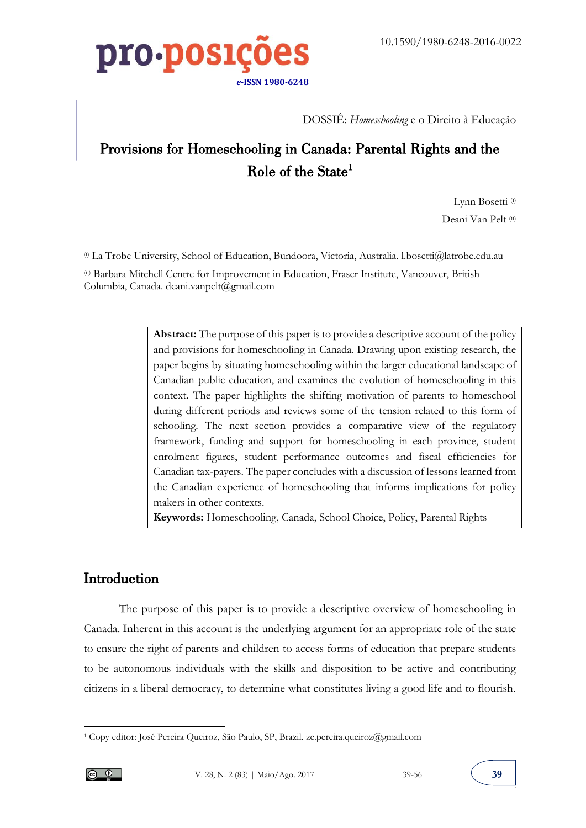

DOSSIÊ: *Homeschooling* e o Direito à Educação

### Provisions for Homeschooling in Canada: Parental Rights and the Role of the State 1

Lynn Bosetti<sup>(i)</sup> Deani Van Pelt (ii)

(i) La Trobe University, School of Education, Bundoora, Victoria, Australia. l.bosetti@latrobe.edu.au

(ii) Barbara Mitchell Centre for Improvement in Education, Fraser Institute, Vancouver, British Columbia, Canada. deani.vanpelt@gmail.com

> **Abstract:** The purpose of this paper is to provide a descriptive account of the policy and provisions for homeschooling in Canada. Drawing upon existing research, the paper begins by situating homeschooling within the larger educational landscape of Canadian public education, and examines the evolution of homeschooling in this context. The paper highlights the shifting motivation of parents to homeschool during different periods and reviews some of the tension related to this form of schooling. The next section provides a comparative view of the regulatory framework, funding and support for homeschooling in each province, student enrolment figures, student performance outcomes and fiscal efficiencies for Canadian tax-payers. The paper concludes with a discussion of lessons learned from the Canadian experience of homeschooling that informs implications for policy makers in other contexts.

**Keywords:** Homeschooling, Canada, School Choice, Policy, Parental Rights

#### Introduction

The purpose of this paper is to provide a descriptive overview of homeschooling in Canada. Inherent in this account is the underlying argument for an appropriate role of the state to ensure the right of parents and children to access forms of education that prepare students to be autonomous individuals with the skills and disposition to be active and contributing citizens in a liberal democracy, to determine what constitutes living a good life and to flourish.

 $\overline{a}$ 

<sup>1</sup> Copy editor: José Pereira Queiroz, São Paulo, SP, Brazil. ze.pereira.queiroz@gmail.com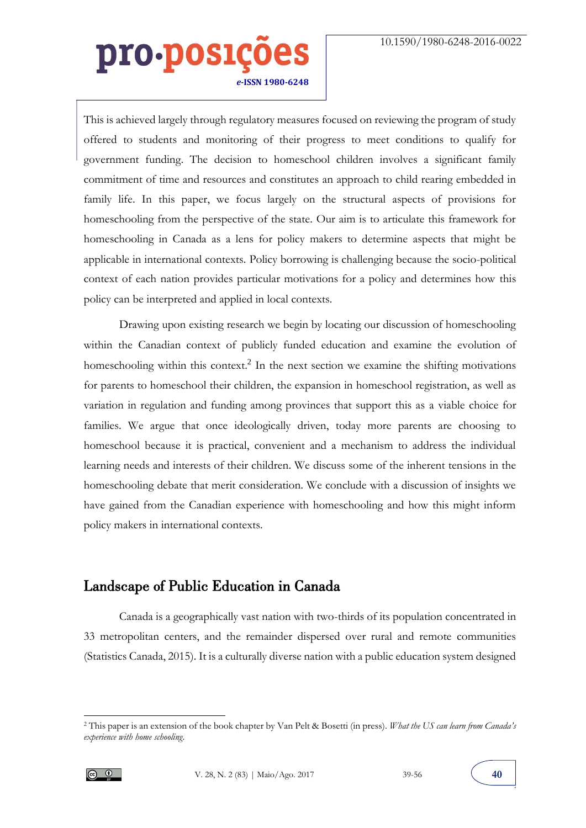This is achieved largely through regulatory measures focused on reviewing the program of study offered to students and monitoring of their progress to meet conditions to qualify for government funding. The decision to homeschool children involves a significant family commitment of time and resources and constitutes an approach to child rearing embedded in family life. In this paper, we focus largely on the structural aspects of provisions for homeschooling from the perspective of the state. Our aim is to articulate this framework for homeschooling in Canada as a lens for policy makers to determine aspects that might be applicable in international contexts. Policy borrowing is challenging because the socio-political context of each nation provides particular motivations for a policy and determines how this policy can be interpreted and applied in local contexts.

Drawing upon existing research we begin by locating our discussion of homeschooling within the Canadian context of publicly funded education and examine the evolution of homeschooling within this context.<sup>2</sup> In the next section we examine the shifting motivations for parents to homeschool their children, the expansion in homeschool registration, as well as variation in regulation and funding among provinces that support this as a viable choice for families. We argue that once ideologically driven, today more parents are choosing to homeschool because it is practical, convenient and a mechanism to address the individual learning needs and interests of their children. We discuss some of the inherent tensions in the homeschooling debate that merit consideration. We conclude with a discussion of insights we have gained from the Canadian experience with homeschooling and how this might inform policy makers in international contexts.

#### Landscape of Public Education in Canada

Canada is a geographically vast nation with two-thirds of its population concentrated in 33 metropolitan centers, and the remainder dispersed over rural and remote communities (Statistics Canada, 2015). It is a culturally diverse nation with a public education system designed

<sup>2</sup> This paper is an extension of the book chapter by Van Pelt & Bosetti (in press). *What the US can learn from Canada's experience with home schooling*.



 $\overline{a}$ 

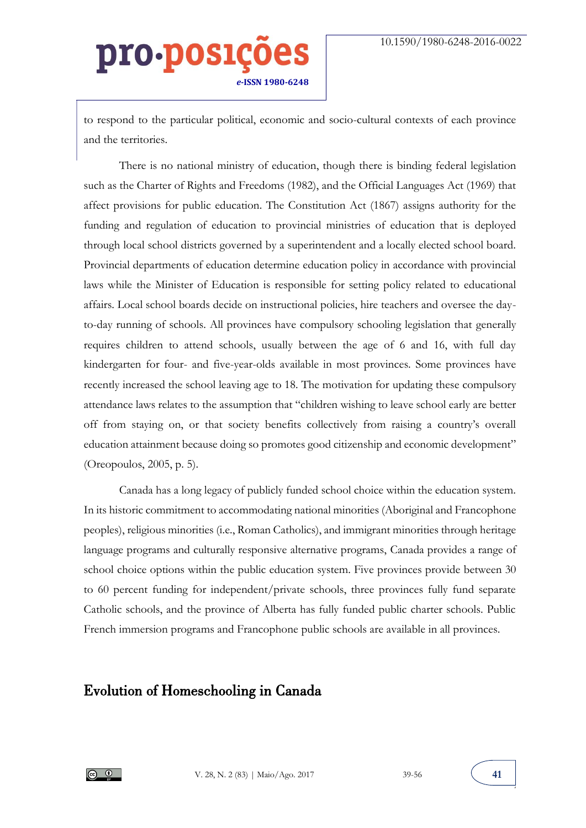to respond to the particular political, economic and socio-cultural contexts of each province and the territories.

There is no national ministry of education, though there is binding federal legislation such as the Charter of Rights and Freedoms (1982), and the Official Languages Act (1969) that affect provisions for public education. The Constitution Act (1867) assigns authority for the funding and regulation of education to provincial ministries of education that is deployed through local school districts governed by a superintendent and a locally elected school board. Provincial departments of education determine education policy in accordance with provincial laws while the Minister of Education is responsible for setting policy related to educational affairs. Local school boards decide on instructional policies, hire teachers and oversee the dayto-day running of schools. All provinces have compulsory schooling legislation that generally requires children to attend schools, usually between the age of 6 and 16, with full day kindergarten for four- and five-year-olds available in most provinces. Some provinces have recently increased the school leaving age to 18. The motivation for updating these compulsory attendance laws relates to the assumption that "children wishing to leave school early are better off from staying on, or that society benefits collectively from raising a country's overall education attainment because doing so promotes good citizenship and economic development" (Oreopoulos, 2005, p. 5).

Canada has a long legacy of publicly funded school choice within the education system. In its historic commitment to accommodating national minorities (Aboriginal and Francophone peoples), religious minorities (i.e., Roman Catholics), and immigrant minorities through heritage language programs and culturally responsive alternative programs, Canada provides a range of school choice options within the public education system. Five provinces provide between 30 to 60 percent funding for independent/private schools, three provinces fully fund separate Catholic schools, and the province of Alberta has fully funded public charter schools. Public French immersion programs and Francophone public schools are available in all provinces.

#### Evolution of Homeschooling in Canada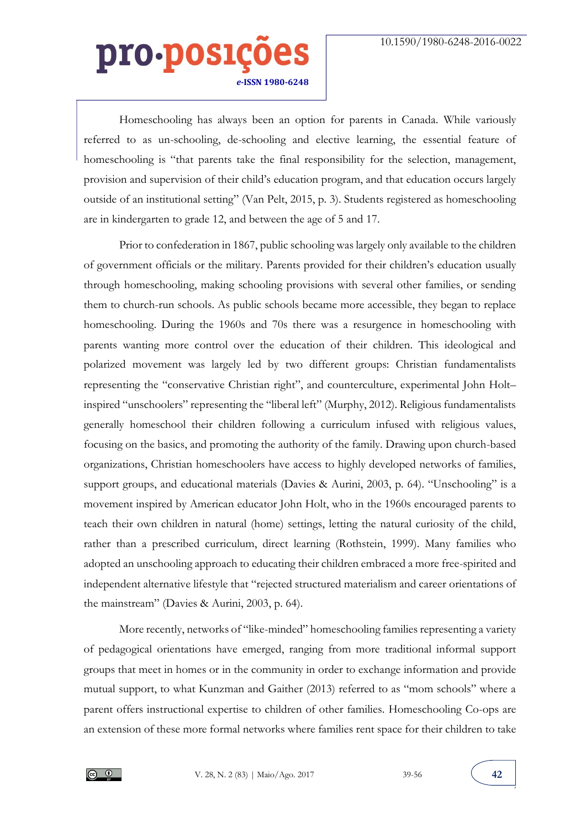Homeschooling has always been an option for parents in Canada. While variously referred to as un-schooling, de-schooling and elective learning, the essential feature of homeschooling is "that parents take the final responsibility for the selection, management, provision and supervision of their child's education program, and that education occurs largely outside of an institutional setting" (Van Pelt, 2015, p. 3). Students registered as homeschooling are in kindergarten to grade 12, and between the age of 5 and 17.

Prior to confederation in 1867, public schooling was largely only available to the children of government officials or the military. Parents provided for their children's education usually through homeschooling, making schooling provisions with several other families, or sending them to church-run schools. As public schools became more accessible, they began to replace homeschooling. During the 1960s and 70s there was a resurgence in homeschooling with parents wanting more control over the education of their children. This ideological and polarized movement was largely led by two different groups: Christian fundamentalists representing the "conservative Christian right", and counterculture, experimental John Holt– inspired "unschoolers" representing the "liberal left" (Murphy, 2012). Religious fundamentalists generally homeschool their children following a curriculum infused with religious values, focusing on the basics, and promoting the authority of the family. Drawing upon church-based organizations, Christian homeschoolers have access to highly developed networks of families, support groups, and educational materials (Davies & Aurini, 2003, p. 64). "Unschooling" is a movement inspired by American educator John Holt, who in the 1960s encouraged parents to teach their own children in natural (home) settings, letting the natural curiosity of the child, rather than a prescribed curriculum, direct learning (Rothstein, 1999). Many families who adopted an unschooling approach to educating their children embraced a more free-spirited and independent alternative lifestyle that "rejected structured materialism and career orientations of the mainstream" (Davies & Aurini, 2003, p. 64).

More recently, networks of "like-minded" homeschooling families representing a variety of pedagogical orientations have emerged, ranging from more traditional informal support groups that meet in homes or in the community in order to exchange information and provide mutual support, to what Kunzman and Gaither (2013) referred to as "mom schools" where a parent offers instructional expertise to children of other families. Homeschooling Co-ops are an extension of these more formal networks where families rent space for their children to take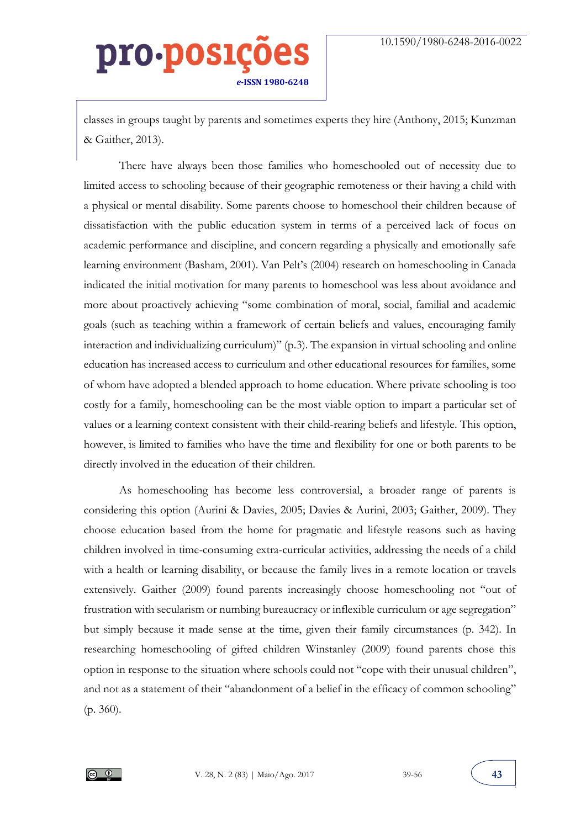classes in groups taught by parents and sometimes experts they hire (Anthony, 2015; Kunzman & Gaither, 2013).

There have always been those families who homeschooled out of necessity due to limited access to schooling because of their geographic remoteness or their having a child with a physical or mental disability. Some parents choose to homeschool their children because of dissatisfaction with the public education system in terms of a perceived lack of focus on academic performance and discipline, and concern regarding a physically and emotionally safe learning environment (Basham, 2001). Van Pelt's (2004) research on homeschooling in Canada indicated the initial motivation for many parents to homeschool was less about avoidance and more about proactively achieving "some combination of moral, social, familial and academic goals (such as teaching within a framework of certain beliefs and values, encouraging family interaction and individualizing curriculum)" (p.3). The expansion in virtual schooling and online education has increased access to curriculum and other educational resources for families, some of whom have adopted a blended approach to home education. Where private schooling is too costly for a family, homeschooling can be the most viable option to impart a particular set of values or a learning context consistent with their child-rearing beliefs and lifestyle. This option, however, is limited to families who have the time and flexibility for one or both parents to be directly involved in the education of their children.

As homeschooling has become less controversial, a broader range of parents is considering this option (Aurini & Davies, 2005; Davies & Aurini, 2003; Gaither, 2009). They choose education based from the home for pragmatic and lifestyle reasons such as having children involved in time-consuming extra-curricular activities, addressing the needs of a child with a health or learning disability, or because the family lives in a remote location or travels extensively. Gaither (2009) found parents increasingly choose homeschooling not "out of frustration with secularism or numbing bureaucracy or inflexible curriculum or age segregation" but simply because it made sense at the time, given their family circumstances (p. 342). In researching homeschooling of gifted children Winstanley (2009) found parents chose this option in response to the situation where schools could not "cope with their unusual children", and not as a statement of their "abandonment of a belief in the efficacy of common schooling" (p. 360).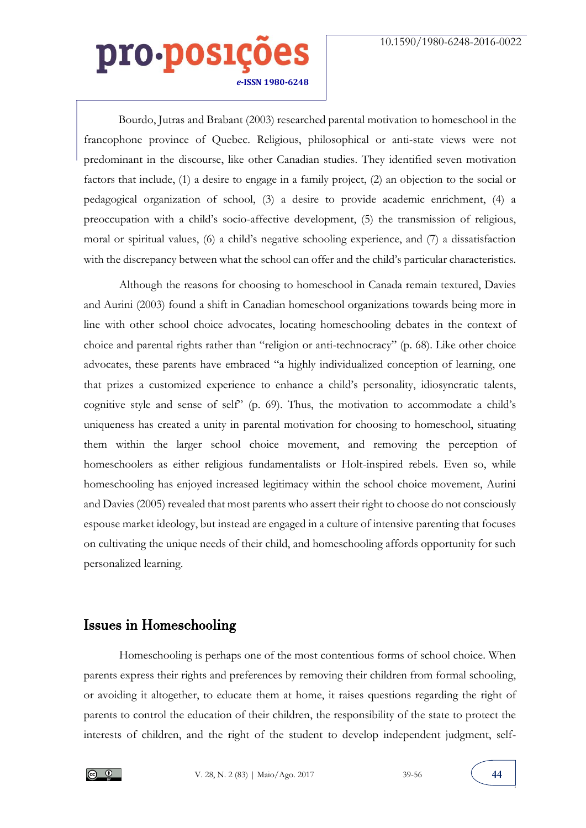Bourdo, Jutras and Brabant (2003) researched parental motivation to homeschool in the francophone province of Quebec. Religious, philosophical or anti-state views were not predominant in the discourse, like other Canadian studies. They identified seven motivation factors that include, (1) a desire to engage in a family project, (2) an objection to the social or pedagogical organization of school, (3) a desire to provide academic enrichment, (4) a preoccupation with a child's socio-affective development, (5) the transmission of religious, moral or spiritual values, (6) a child's negative schooling experience, and (7) a dissatisfaction with the discrepancy between what the school can offer and the child's particular characteristics.

Although the reasons for choosing to homeschool in Canada remain textured, Davies and Aurini (2003) found a shift in Canadian homeschool organizations towards being more in line with other school choice advocates, locating homeschooling debates in the context of choice and parental rights rather than "religion or anti-technocracy" (p. 68). Like other choice advocates, these parents have embraced "a highly individualized conception of learning, one that prizes a customized experience to enhance a child's personality, idiosyncratic talents, cognitive style and sense of self" (p. 69). Thus, the motivation to accommodate a child's uniqueness has created a unity in parental motivation for choosing to homeschool, situating them within the larger school choice movement, and removing the perception of homeschoolers as either religious fundamentalists or Holt-inspired rebels. Even so, while homeschooling has enjoyed increased legitimacy within the school choice movement, Aurini and Davies (2005) revealed that most parents who assert their right to choose do not consciously espouse market ideology, but instead are engaged in a culture of intensive parenting that focuses on cultivating the unique needs of their child, and homeschooling affords opportunity for such personalized learning.

#### Issues in Homeschooling

Homeschooling is perhaps one of the most contentious forms of school choice. When parents express their rights and preferences by removing their children from formal schooling, or avoiding it altogether, to educate them at home, it raises questions regarding the right of parents to control the education of their children, the responsibility of the state to protect the interests of children, and the right of the student to develop independent judgment, self-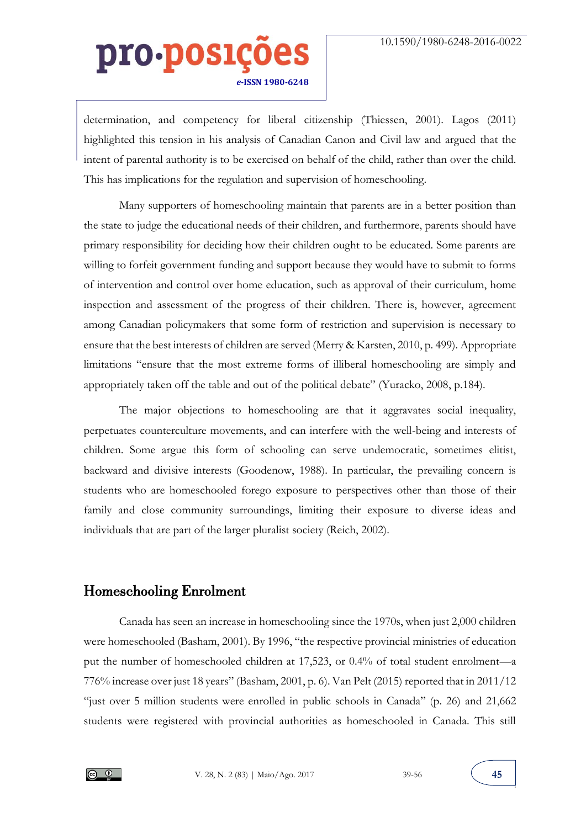determination, and competency for liberal citizenship (Thiessen, 2001). Lagos (2011) highlighted this tension in his analysis of Canadian Canon and Civil law and argued that the intent of parental authority is to be exercised on behalf of the child, rather than over the child. This has implications for the regulation and supervision of homeschooling.

Many supporters of homeschooling maintain that parents are in a better position than the state to judge the educational needs of their children, and furthermore, parents should have primary responsibility for deciding how their children ought to be educated. Some parents are willing to forfeit government funding and support because they would have to submit to forms of intervention and control over home education, such as approval of their curriculum, home inspection and assessment of the progress of their children. There is, however, agreement among Canadian policymakers that some form of restriction and supervision is necessary to ensure that the best interests of children are served (Merry & Karsten, 2010, p. 499). Appropriate limitations "ensure that the most extreme forms of illiberal homeschooling are simply and appropriately taken off the table and out of the political debate" (Yuracko, 2008, p.184).

The major objections to homeschooling are that it aggravates social inequality, perpetuates counterculture movements, and can interfere with the well-being and interests of children. Some argue this form of schooling can serve undemocratic, sometimes elitist, backward and divisive interests (Goodenow, 1988). In particular, the prevailing concern is students who are homeschooled forego exposure to perspectives other than those of their family and close community surroundings, limiting their exposure to diverse ideas and individuals that are part of the larger pluralist society (Reich, 2002).

#### Homeschooling Enrolment

Canada has seen an increase in homeschooling since the 1970s, when just 2,000 children were homeschooled (Basham, 2001). By 1996, "the respective provincial ministries of education put the number of homeschooled children at 17,523, or 0.4% of total student enrolment—a 776% increase over just 18 years" (Basham, 2001, p. 6). Van Pelt (2015) reported that in 2011/12 "just over 5 million students were enrolled in public schools in Canada" (p. 26) and 21,662 students were registered with provincial authorities as homeschooled in Canada. This still

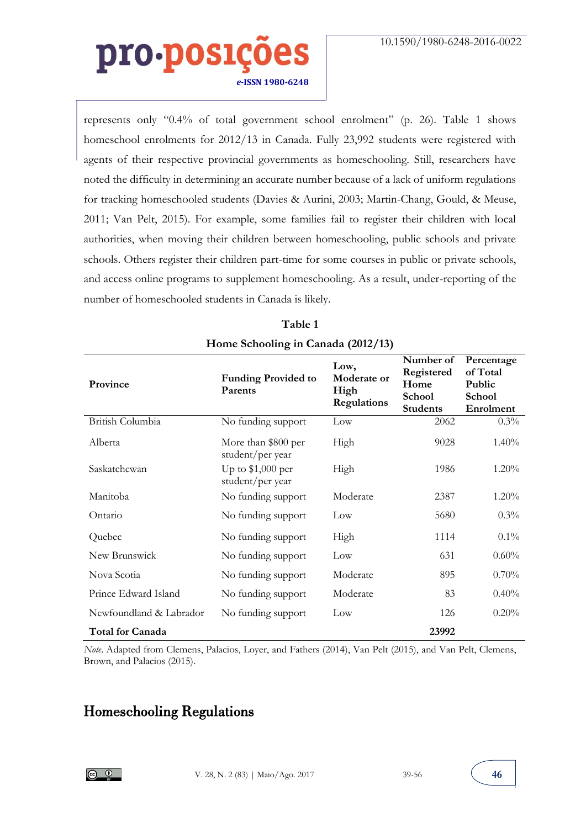represents only "0.4% of total government school enrolment" (p. 26). Table 1 shows homeschool enrolments for 2012/13 in Canada. Fully 23,992 students were registered with agents of their respective provincial governments as homeschooling. Still, researchers have noted the difficulty in determining an accurate number because of a lack of uniform regulations for tracking homeschooled students (Davies & Aurini, 2003; Martin-Chang, Gould, & Meuse, 2011; Van Pelt, 2015). For example, some families fail to register their children with local authorities, when moving their children between homeschooling, public schools and private schools. Others register their children part-time for some courses in public or private schools, and access online programs to supplement homeschooling. As a result, under-reporting of the number of homeschooled students in Canada is likely.

| Province                | <b>Funding Provided to</b><br>Parents   | Low,<br>Moderate or<br>High<br>Regulations | Number of<br>Registered<br>Home<br>School<br><b>Students</b> | Percentage<br>of Total<br>Public<br>School<br>Enrolment |
|-------------------------|-----------------------------------------|--------------------------------------------|--------------------------------------------------------------|---------------------------------------------------------|
| British Columbia        | No funding support                      | Low                                        | 2062                                                         | $0.3\%$                                                 |
| Alberta                 | More than \$800 per<br>student/per year | High                                       | 9028                                                         | $1.40\%$                                                |
| Saskatchewan            | Up to $$1,000$ per<br>student/per year  | High                                       | 1986                                                         | 1.20%                                                   |
| Manitoba                | No funding support                      | Moderate                                   | 2387                                                         | $1.20\%$                                                |
| Ontario                 | No funding support                      | Low                                        | 5680                                                         | 0.3%                                                    |
| Quebec                  | No funding support                      | High                                       | 1114                                                         | $0.1\%$                                                 |
| New Brunswick           | No funding support                      | Low                                        | 631                                                          | $0.60\%$                                                |
| Nova Scotia             | No funding support                      | Moderate                                   | 895                                                          | 0.70%                                                   |
| Prince Edward Island    | No funding support                      | Moderate                                   | 83                                                           | 0.40%                                                   |
| Newfoundland & Labrador | No funding support                      | Low                                        | 126                                                          | 0.20%                                                   |
| <b>Total for Canada</b> |                                         |                                            | 23992                                                        |                                                         |

#### **Table 1 Home Schooling in Canada (2012/13)**

*Note*. Adapted from Clemens, Palacios, Loyer, and Fathers (2014), Van Pelt (2015), and Van Pelt, Clemens, Brown, and Palacios (2015).

#### Homeschooling Regulations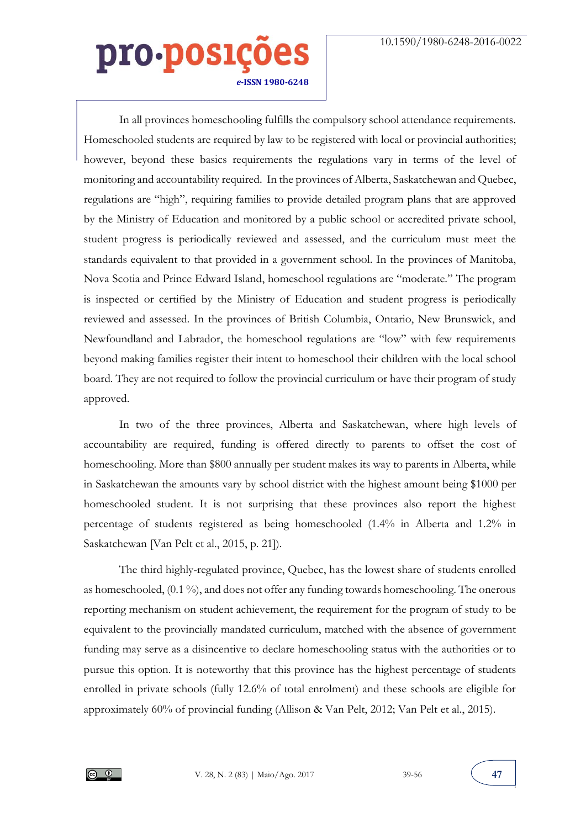In all provinces homeschooling fulfills the compulsory school attendance requirements. Homeschooled students are required by law to be registered with local or provincial authorities; however, beyond these basics requirements the regulations vary in terms of the level of monitoring and accountability required. In the provinces of Alberta, Saskatchewan and Quebec, regulations are "high", requiring families to provide detailed program plans that are approved by the Ministry of Education and monitored by a public school or accredited private school, student progress is periodically reviewed and assessed, and the curriculum must meet the standards equivalent to that provided in a government school. In the provinces of Manitoba, Nova Scotia and Prince Edward Island, homeschool regulations are "moderate." The program is inspected or certified by the Ministry of Education and student progress is periodically reviewed and assessed. In the provinces of British Columbia, Ontario, New Brunswick, and Newfoundland and Labrador, the homeschool regulations are "low" with few requirements beyond making families register their intent to homeschool their children with the local school board. They are not required to follow the provincial curriculum or have their program of study approved.

In two of the three provinces, Alberta and Saskatchewan, where high levels of accountability are required, funding is offered directly to parents to offset the cost of homeschooling. More than \$800 annually per student makes its way to parents in Alberta, while in Saskatchewan the amounts vary by school district with the highest amount being \$1000 per homeschooled student. It is not surprising that these provinces also report the highest percentage of students registered as being homeschooled (1.4% in Alberta and 1.2% in Saskatchewan [Van Pelt et al., 2015, p. 21]).

The third highly-regulated province, Quebec, has the lowest share of students enrolled as homeschooled, (0.1 %), and does not offer any funding towards homeschooling. The onerous reporting mechanism on student achievement, the requirement for the program of study to be equivalent to the provincially mandated curriculum, matched with the absence of government funding may serve as a disincentive to declare homeschooling status with the authorities or to pursue this option. It is noteworthy that this province has the highest percentage of students enrolled in private schools (fully 12.6% of total enrolment) and these schools are eligible for approximately 60% of provincial funding (Allison & Van Pelt, 2012; Van Pelt et al., 2015).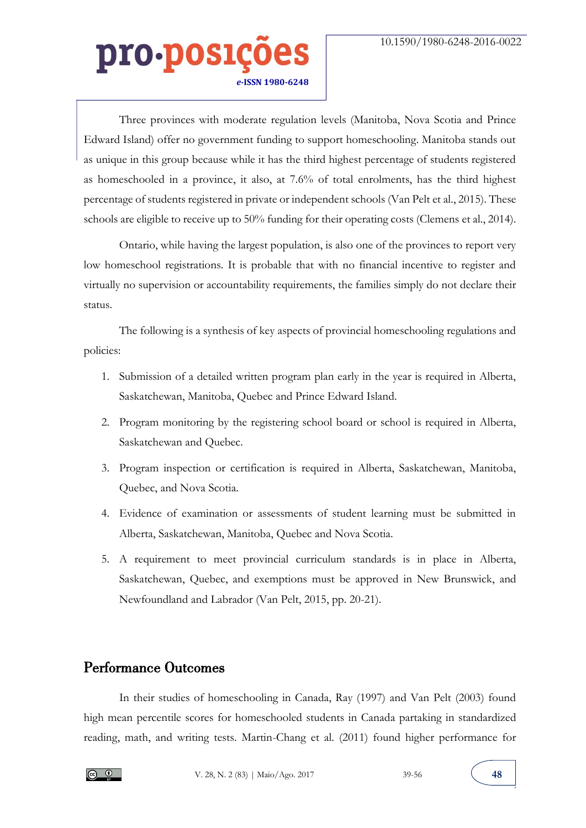Three provinces with moderate regulation levels (Manitoba, Nova Scotia and Prince Edward Island) offer no government funding to support homeschooling. Manitoba stands out as unique in this group because while it has the third highest percentage of students registered as homeschooled in a province, it also, at 7.6% of total enrolments, has the third highest percentage of students registered in private or independent schools (Van Pelt et al., 2015). These schools are eligible to receive up to 50% funding for their operating costs (Clemens et al., 2014).

Ontario, while having the largest population, is also one of the provinces to report very low homeschool registrations. It is probable that with no financial incentive to register and virtually no supervision or accountability requirements, the families simply do not declare their status.

The following is a synthesis of key aspects of provincial homeschooling regulations and policies:

- 1. Submission of a detailed written program plan early in the year is required in Alberta, Saskatchewan, Manitoba, Quebec and Prince Edward Island.
- 2. Program monitoring by the registering school board or school is required in Alberta, Saskatchewan and Quebec.
- 3. Program inspection or certification is required in Alberta, Saskatchewan, Manitoba, Quebec, and Nova Scotia.
- 4. Evidence of examination or assessments of student learning must be submitted in Alberta, Saskatchewan, Manitoba, Quebec and Nova Scotia.
- 5. A requirement to meet provincial curriculum standards is in place in Alberta, Saskatchewan, Quebec, and exemptions must be approved in New Brunswick, and Newfoundland and Labrador (Van Pelt, 2015, pp. 20-21).

#### Performance Outcomes

In their studies of homeschooling in Canada, Ray (1997) and Van Pelt (2003) found high mean percentile scores for homeschooled students in Canada partaking in standardized reading, math, and writing tests. Martin-Chang et al. (2011) found higher performance for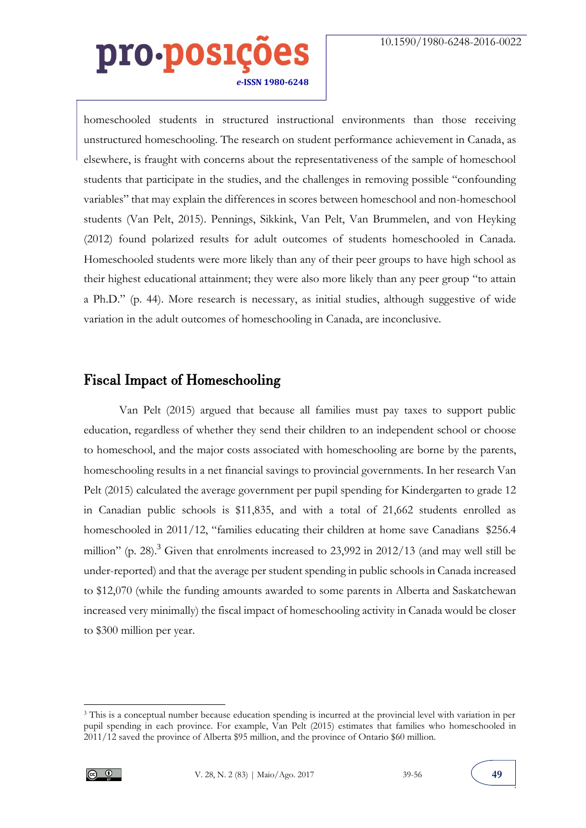homeschooled students in structured instructional environments than those receiving unstructured homeschooling. The research on student performance achievement in Canada, as elsewhere, is fraught with concerns about the representativeness of the sample of homeschool students that participate in the studies, and the challenges in removing possible "confounding variables" that may explain the differences in scores between homeschool and non-homeschool students (Van Pelt, 2015). Pennings, Sikkink, Van Pelt, Van Brummelen, and von Heyking (2012) found polarized results for adult outcomes of students homeschooled in Canada. Homeschooled students were more likely than any of their peer groups to have high school as their highest educational attainment; they were also more likely than any peer group "to attain a Ph.D." (p. 44). More research is necessary, as initial studies, although suggestive of wide variation in the adult outcomes of homeschooling in Canada, are inconclusive.

#### Fiscal Impact of Homeschooling

Van Pelt (2015) argued that because all families must pay taxes to support public education, regardless of whether they send their children to an independent school or choose to homeschool, and the major costs associated with homeschooling are borne by the parents, homeschooling results in a net financial savings to provincial governments. In her research Van Pelt (2015) calculated the average government per pupil spending for Kindergarten to grade 12 in Canadian public schools is \$11,835, and with a total of 21,662 students enrolled as homeschooled in 2011/12, "families educating their children at home save Canadians \$256.4 million" (p. 28).<sup>3</sup> Given that enrolments increased to 23,992 in 2012/13 (and may well still be under-reported) and that the average per student spending in public schools in Canada increased to \$12,070 (while the funding amounts awarded to some parents in Alberta and Saskatchewan increased very minimally) the fiscal impact of homeschooling activity in Canada would be closer to \$300 million per year.

<sup>3</sup> This is a conceptual number because education spending is incurred at the provincial level with variation in per pupil spending in each province. For example, Van Pelt (2015) estimates that families who homeschooled in 2011/12 saved the province of Alberta \$95 million, and the province of Ontario \$60 million.



-

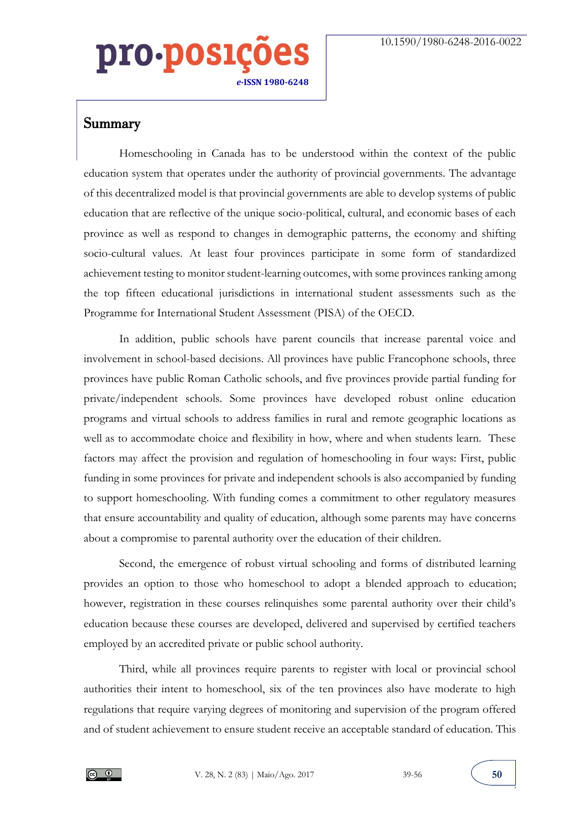Summary

Homeschooling in Canada has to be understood within the context of the public education system that operates under the authority of provincial governments. The advantage of this decentralized model is that provincial governments are able to develop systems of public education that are reflective of the unique socio-political, cultural, and economic bases of each province as well as respond to changes in demographic patterns, the economy and shifting socio-cultural values. At least four provinces participate in some form of standardized achievement testing to monitor student-learning outcomes, with some provinces ranking among the top fifteen educational jurisdictions in international student assessments such as the Programme for International Student Assessment (PISA) of the OECD.

In addition, public schools have parent councils that increase parental voice and involvement in school-based decisions. All provinces have public Francophone schools, three provinces have public Roman Catholic schools, and five provinces provide partial funding for private/independent schools. Some provinces have developed robust online education programs and virtual schools to address families in rural and remote geographic locations as well as to accommodate choice and flexibility in how, where and when students learn. These factors may affect the provision and regulation of homeschooling in four ways: First, public funding in some provinces for private and independent schools is also accompanied by funding to support homeschooling. With funding comes a commitment to other regulatory measures that ensure accountability and quality of education, although some parents may have concerns about a compromise to parental authority over the education of their children.

Second, the emergence of robust virtual schooling and forms of distributed learning provides an option to those who homeschool to adopt a blended approach to education; however, registration in these courses relinquishes some parental authority over their child's education because these courses are developed, delivered and supervised by certified teachers employed by an accredited private or public school authority.

Third, while all provinces require parents to register with local or provincial school authorities their intent to homeschool, six of the ten provinces also have moderate to high regulations that require varying degrees of monitoring and supervision of the program offered and of student achievement to ensure student receive an acceptable standard of education. This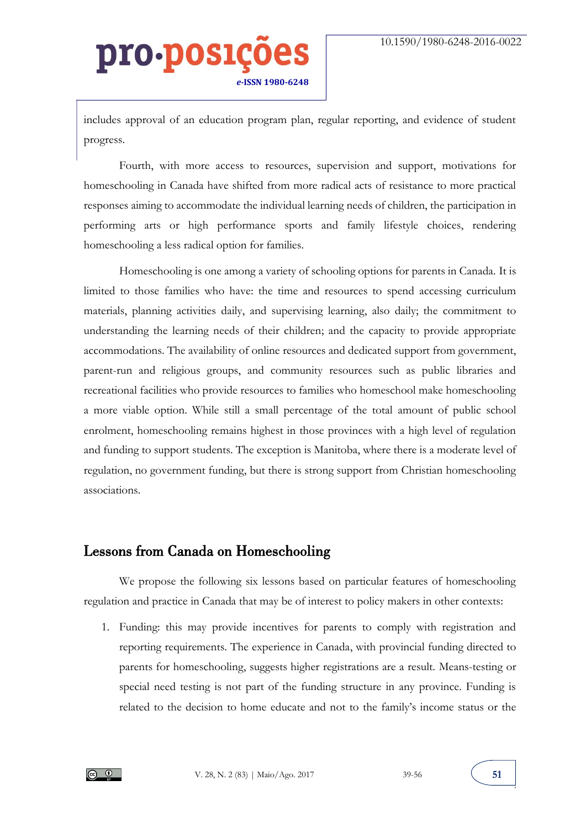includes approval of an education program plan, regular reporting, and evidence of student progress.

Fourth, with more access to resources, supervision and support, motivations for homeschooling in Canada have shifted from more radical acts of resistance to more practical responses aiming to accommodate the individual learning needs of children, the participation in performing arts or high performance sports and family lifestyle choices, rendering homeschooling a less radical option for families.

Homeschooling is one among a variety of schooling options for parents in Canada. It is limited to those families who have: the time and resources to spend accessing curriculum materials, planning activities daily, and supervising learning, also daily; the commitment to understanding the learning needs of their children; and the capacity to provide appropriate accommodations. The availability of online resources and dedicated support from government, parent-run and religious groups, and community resources such as public libraries and recreational facilities who provide resources to families who homeschool make homeschooling a more viable option. While still a small percentage of the total amount of public school enrolment, homeschooling remains highest in those provinces with a high level of regulation and funding to support students. The exception is Manitoba, where there is a moderate level of regulation, no government funding, but there is strong support from Christian homeschooling associations.

#### Lessons from Canada on Homeschooling

We propose the following six lessons based on particular features of homeschooling regulation and practice in Canada that may be of interest to policy makers in other contexts:

1. Funding: this may provide incentives for parents to comply with registration and reporting requirements. The experience in Canada, with provincial funding directed to parents for homeschooling, suggests higher registrations are a result. Means-testing or special need testing is not part of the funding structure in any province. Funding is related to the decision to home educate and not to the family's income status or the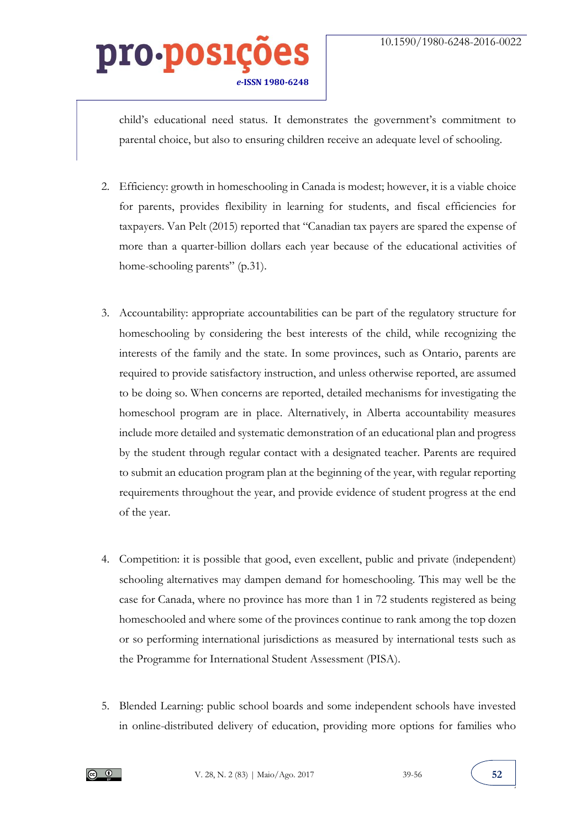child's educational need status. It demonstrates the government's commitment to parental choice, but also to ensuring children receive an adequate level of schooling.

- 2. Efficiency: growth in homeschooling in Canada is modest; however, it is a viable choice for parents, provides flexibility in learning for students, and fiscal efficiencies for taxpayers. Van Pelt (2015) reported that "Canadian tax payers are spared the expense of more than a quarter-billion dollars each year because of the educational activities of home-schooling parents" (p.31).
- 3. Accountability: appropriate accountabilities can be part of the regulatory structure for homeschooling by considering the best interests of the child, while recognizing the interests of the family and the state. In some provinces, such as Ontario, parents are required to provide satisfactory instruction, and unless otherwise reported, are assumed to be doing so. When concerns are reported, detailed mechanisms for investigating the homeschool program are in place. Alternatively, in Alberta accountability measures include more detailed and systematic demonstration of an educational plan and progress by the student through regular contact with a designated teacher. Parents are required to submit an education program plan at the beginning of the year, with regular reporting requirements throughout the year, and provide evidence of student progress at the end of the year.
- 4. Competition: it is possible that good, even excellent, public and private (independent) schooling alternatives may dampen demand for homeschooling. This may well be the case for Canada, where no province has more than 1 in 72 students registered as being homeschooled and where some of the provinces continue to rank among the top dozen or so performing international jurisdictions as measured by international tests such as the Programme for International Student Assessment (PISA).
- 5. Blended Learning: public school boards and some independent schools have invested in online-distributed delivery of education, providing more options for families who

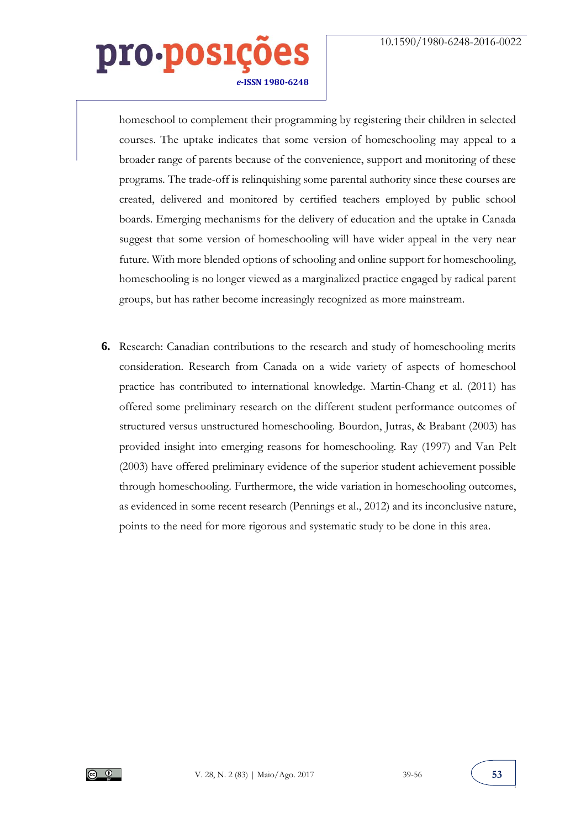homeschool to complement their programming by registering their children in selected courses. The uptake indicates that some version of homeschooling may appeal to a broader range of parents because of the convenience, support and monitoring of these programs. The trade-off is relinquishing some parental authority since these courses are created, delivered and monitored by certified teachers employed by public school boards. Emerging mechanisms for the delivery of education and the uptake in Canada suggest that some version of homeschooling will have wider appeal in the very near future. With more blended options of schooling and online support for homeschooling, homeschooling is no longer viewed as a marginalized practice engaged by radical parent groups, but has rather become increasingly recognized as more mainstream.

**6.** Research: Canadian contributions to the research and study of homeschooling merits consideration. Research from Canada on a wide variety of aspects of homeschool practice has contributed to international knowledge. Martin-Chang et al. (2011) has offered some preliminary research on the different student performance outcomes of structured versus unstructured homeschooling. Bourdon, Jutras, & Brabant (2003) has provided insight into emerging reasons for homeschooling. Ray (1997) and Van Pelt (2003) have offered preliminary evidence of the superior student achievement possible through homeschooling. Furthermore, the wide variation in homeschooling outcomes, as evidenced in some recent research (Pennings et al., 2012) and its inconclusive nature, points to the need for more rigorous and systematic study to be done in this area.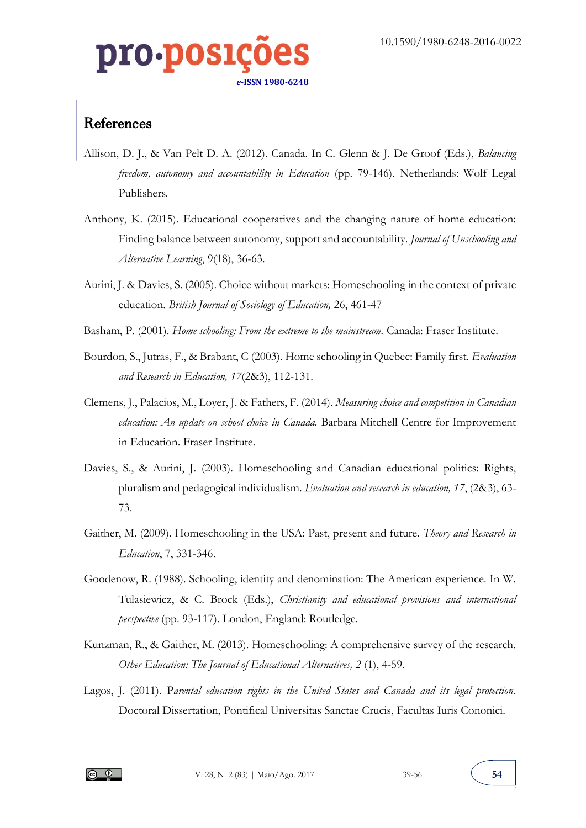# 0.DOS] *e-***ISSN 1980-6248**

#### References

- Allison, D. J., & Van Pelt D. A. (2012). Canada. In C. Glenn & J. De Groof (Eds.), *Balancing freedom, autonomy and accountability in Education (pp. 79-146).* Netherlands: Wolf Legal Publishers*.*
- Anthony, K. (2015). Educational cooperatives and the changing nature of home education: Finding balance between autonomy, support and accountability. *Journal of Unschooling and Alternative Learning*, 9(18), 36-63.
- Aurini, J. & Davies, S. (2005). Choice without markets: Homeschooling in the context of private education. *British Journal of Sociology of Education,* 26, 461-47
- Basham, P. (2001). *Home schooling: From the extreme to the mainstream.* Canada: Fraser Institute.
- Bourdon, S., Jutras, F., & Brabant, C (2003). Home schooling in Quebec: Family first. *Evaluation and Research in Education, 17*(2&3), 112-131.
- Clemens, J., Palacios, M., Loyer, J. & Fathers, F. (2014). *Measuring choice and competition in Canadian education: An update on school choice in Canada.* Barbara Mitchell Centre for Improvement in Education. Fraser Institute.
- Davies, S., & Aurini, J. (2003). Homeschooling and Canadian educational politics: Rights, pluralism and pedagogical individualism. *Evaluation and research in education, 17*, (2&3), 63- 73.
- Gaither, M. (2009). Homeschooling in the USA: Past, present and future. *Theory and Research in Education*, 7, 331-346.
- Goodenow, R. (1988). Schooling, identity and denomination: The American experience. In W. Tulasiewicz, & C. Brock (Eds.), *Christianity and educational provisions and international perspective* (pp. 93-117). London, England: Routledge.
- Kunzman, R., & Gaither, M. (2013). Homeschooling: A comprehensive survey of the research. *Other Education: The Journal of Educational Alternatives, 2* (1), 4-59.
- Lagos, J. (2011). P*arental education rights in the United States and Canada and its legal protection*. Doctoral Dissertation, Pontifical Universitas Sanctae Crucis, Facultas Iuris Cononici.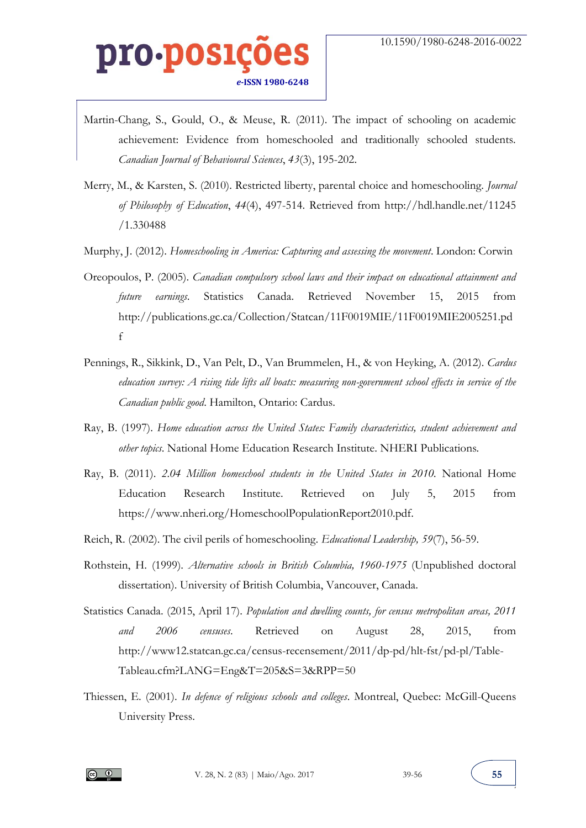- Martin-Chang, S., Gould, O., & Meuse, R. (2011). The impact of schooling on academic achievement: Evidence from homeschooled and traditionally schooled students. *Canadian Journal of Behavioural Sciences*, *43*(3), 195-202.
- Merry, M., & Karsten, S. (2010). Restricted liberty, parental choice and homeschooling. *Journal of Philosophy of Education*, *44*(4), 497-514. Retrieved from http://hdl.handle.net/11245 /1.330488
- Murphy, J. (2012). *Homeschooling in America: Capturing and assessing the movement*. London: Corwin
- Oreopoulos, P. (2005). *Canadian compulsory school laws and their impact on educational attainment and future earnings*. Statistics Canada. Retrieved November 15, 2015 from http://publications.gc.ca/Collection/Statcan/11F0019MIE/11F0019MIE2005251.pd f
- Pennings, R., Sikkink, D., Van Pelt, D., Van Brummelen, H., & von Heyking, A. (2012). *Cardus education survey: A rising tide lifts all boats: measuring non-government school effects in service of the Canadian public good*. Hamilton, Ontario: Cardus.
- Ray, B. (1997). *Home education across the United States: Family characteristics, student achievement and other topics*. National Home Education Research Institute. NHERI Publications.
- Ray, B. (2011). *2.04 Million homeschool students in the United States in 2010*. National Home Education Research Institute. Retrieved on July 5, 2015 from https://www.nheri.org/HomeschoolPopulationReport2010.pdf.
- Reich, R. (2002). The civil perils of homeschooling. *Educational Leadership, 59*(7), 56-59.
- Rothstein, H. (1999). *Alternative schools in British Columbia, 1960-1975* (Unpublished doctoral dissertation). University of British Columbia, Vancouver, Canada.
- Statistics Canada. (2015, April 17). *Population and dwelling counts, for census metropolitan areas, 2011 and 2006 censuses*. Retrieved on August 28, 2015, from http://www12.statcan.gc.ca/census-recensement/2011/dp-pd/hlt-fst/pd-pl/Table-Tableau.cfm?LANG=Eng&T=205&S=3&RPP=50
- Thiessen, E. (2001). *In defence of religious schools and colleges*. Montreal, Quebec: McGill-Queens University Press.